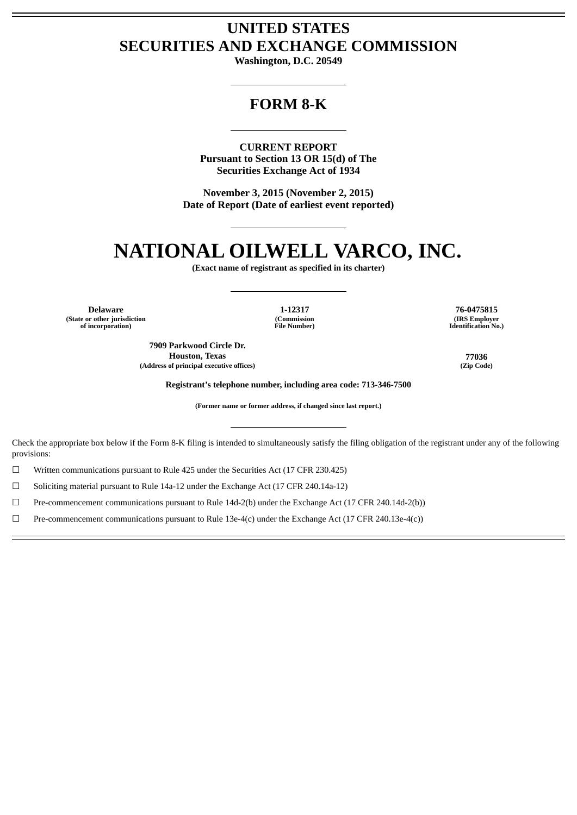## **UNITED STATES SECURITIES AND EXCHANGE COMMISSION**

**Washington, D.C. 20549**

## **FORM 8-K**

**CURRENT REPORT Pursuant to Section 13 OR 15(d) of The Securities Exchange Act of 1934**

**November 3, 2015 (November 2, 2015) Date of Report (Date of earliest event reported)**

# **NATIONAL OILWELL VARCO, INC.**

**(Exact name of registrant as specified in its charter)**

**Delaware 1-12317 76-0475815 (State or other jurisdiction of incorporation)**

**(Commission File Number)**

**7909 Parkwood Circle Dr. Houston, Texas 77036 (Address of principal executive offices) (Zip Code)**

**(IRS Employer Identification No.)**

**Registrant's telephone number, including area code: 713-346-7500**

**(Former name or former address, if changed since last report.)**

Check the appropriate box below if the Form 8-K filing is intended to simultaneously satisfy the filing obligation of the registrant under any of the following provisions:

☐ Written communications pursuant to Rule 425 under the Securities Act (17 CFR 230.425)

☐ Soliciting material pursuant to Rule 14a-12 under the Exchange Act (17 CFR 240.14a-12)

☐ Pre-commencement communications pursuant to Rule 14d-2(b) under the Exchange Act (17 CFR 240.14d-2(b))

☐ Pre-commencement communications pursuant to Rule 13e-4(c) under the Exchange Act (17 CFR 240.13e-4(c))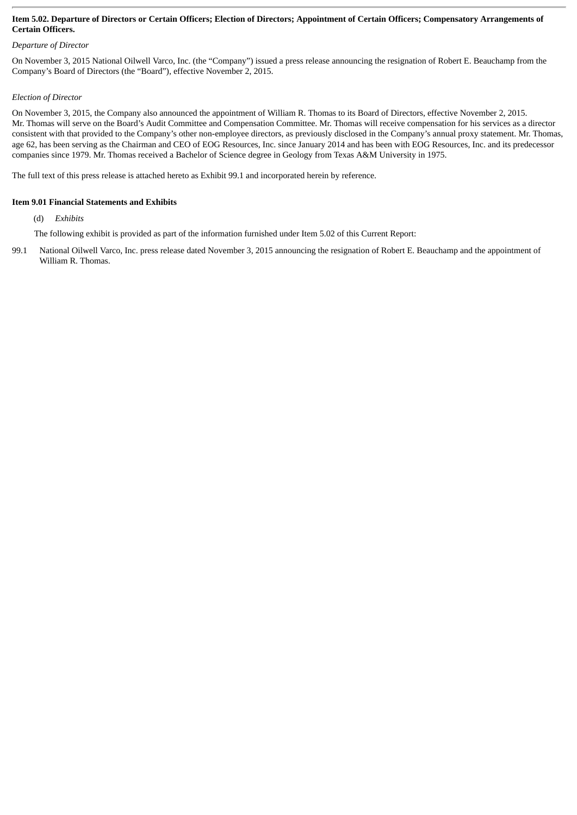#### Item 5.02. Departure of Directors or Certain Officers; Election of Directors; Appointment of Certain Officers; Compensatory Arrangements of **Certain Officers.**

#### *Departure of Director*

On November 3, 2015 National Oilwell Varco, Inc. (the "Company") issued a press release announcing the resignation of Robert E. Beauchamp from the Company's Board of Directors (the "Board"), effective November 2, 2015.

#### *Election of Director*

On November 3, 2015, the Company also announced the appointment of William R. Thomas to its Board of Directors, effective November 2, 2015. Mr. Thomas will serve on the Board's Audit Committee and Compensation Committee. Mr. Thomas will receive compensation for his services as a director consistent with that provided to the Company's other non-employee directors, as previously disclosed in the Company's annual proxy statement. Mr. Thomas, age 62, has been serving as the Chairman and CEO of EOG Resources, Inc. since January 2014 and has been with EOG Resources, Inc. and its predecessor companies since 1979. Mr. Thomas received a Bachelor of Science degree in Geology from Texas A&M University in 1975.

The full text of this press release is attached hereto as Exhibit 99.1 and incorporated herein by reference.

#### **Item 9.01 Financial Statements and Exhibits**

(d) *Exhibits*

- The following exhibit is provided as part of the information furnished under Item 5.02 of this Current Report:
- 99.1 National Oilwell Varco, Inc. press release dated November 3, 2015 announcing the resignation of Robert E. Beauchamp and the appointment of William R. Thomas.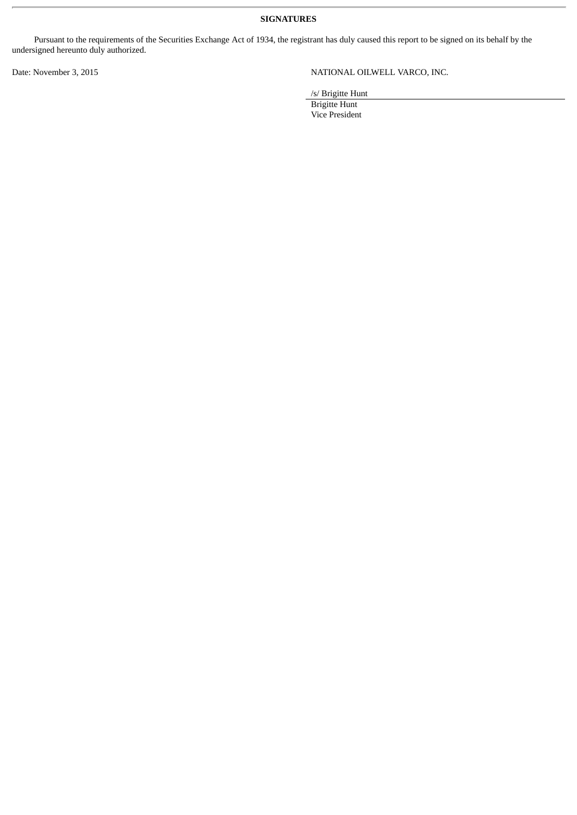**SIGNATURES**

Pursuant to the requirements of the Securities Exchange Act of 1934, the registrant has duly caused this report to be signed on its behalf by the undersigned hereunto duly authorized.

### Date: November 3, 2015 NATIONAL OILWELL VARCO, INC.

/s/ Brigitte Hunt

Brigitte Hunt Vice President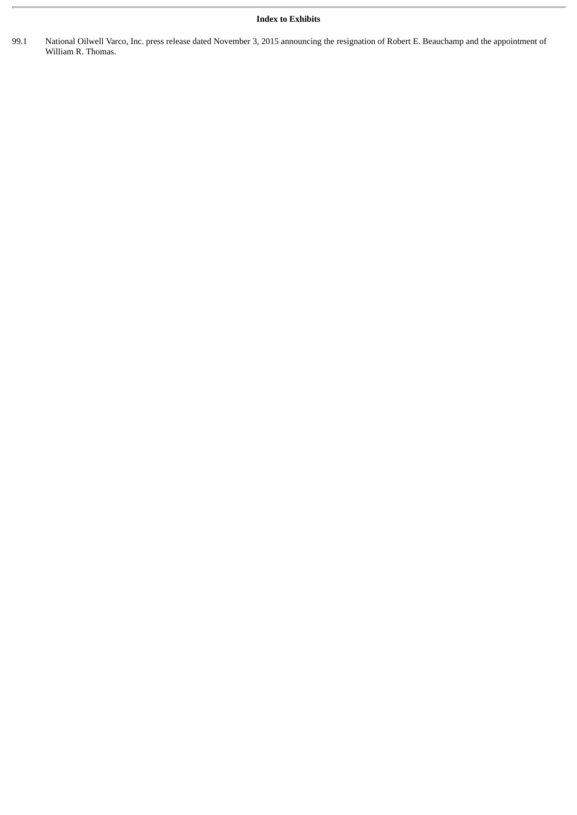#### **Index to Exhibits**

99.1 National Oilwell Varco, Inc. press release dated November 3, 2015 announcing the resignation of Robert E. Beauchamp and the appointment of William R. Thomas.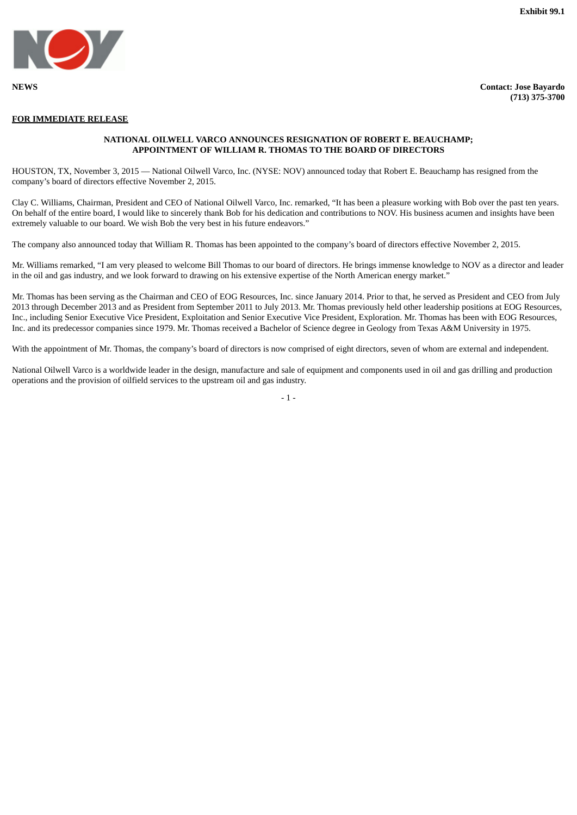

**NEWS Contact: Jose Bayardo (713) 375-3700**

#### **FOR IMMEDIATE RELEASE**

#### **NATIONAL OILWELL VARCO ANNOUNCES RESIGNATION OF ROBERT E. BEAUCHAMP; APPOINTMENT OF WILLIAM R. THOMAS TO THE BOARD OF DIRECTORS**

HOUSTON, TX, November 3, 2015 — National Oilwell Varco, Inc. (NYSE: NOV) announced today that Robert E. Beauchamp has resigned from the company's board of directors effective November 2, 2015.

Clay C. Williams, Chairman, President and CEO of National Oilwell Varco, Inc. remarked, "It has been a pleasure working with Bob over the past ten years. On behalf of the entire board, I would like to sincerely thank Bob for his dedication and contributions to NOV. His business acumen and insights have been extremely valuable to our board. We wish Bob the very best in his future endeavors."

The company also announced today that William R. Thomas has been appointed to the company's board of directors effective November 2, 2015.

Mr. Williams remarked, "I am very pleased to welcome Bill Thomas to our board of directors. He brings immense knowledge to NOV as a director and leader in the oil and gas industry, and we look forward to drawing on his extensive expertise of the North American energy market."

Mr. Thomas has been serving as the Chairman and CEO of EOG Resources, Inc. since January 2014. Prior to that, he served as President and CEO from July 2013 through December 2013 and as President from September 2011 to July 2013. Mr. Thomas previously held other leadership positions at EOG Resources, Inc., including Senior Executive Vice President, Exploitation and Senior Executive Vice President, Exploration. Mr. Thomas has been with EOG Resources, Inc. and its predecessor companies since 1979. Mr. Thomas received a Bachelor of Science degree in Geology from Texas A&M University in 1975.

With the appointment of Mr. Thomas, the company's board of directors is now comprised of eight directors, seven of whom are external and independent.

National Oilwell Varco is a worldwide leader in the design, manufacture and sale of equipment and components used in oil and gas drilling and production operations and the provision of oilfield services to the upstream oil and gas industry.

 $-1$  -